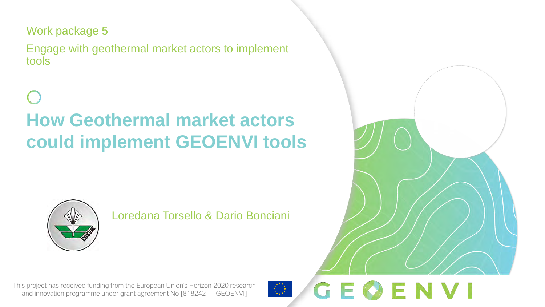Work package 5

Engage with geothermal market actors to implement tools

**How Geothermal market actors could implement GEOENVI tools**



Loredana Torsello & Dario Bonciani

GEØENVI

This project has received funding from the European Union's Horizon 2020 research and innovation programme under grant agreement No [818242 — GEOENVI]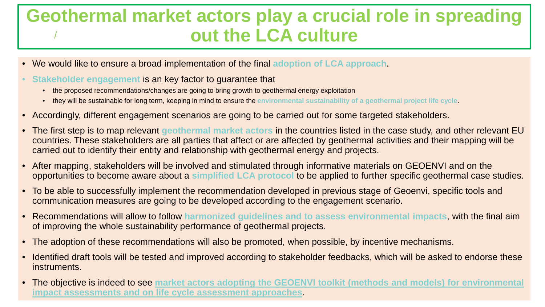### / **Geothermal market actors play a crucial role in spreading out the LCA culture**

- We would like to ensure a broad implementation of the final **adoption of LCA approach**.
- **Stakeholder engagement** is an key factor to guarantee that
	- the proposed recommendations/changes are going to bring growth to geothermal energy exploitation
	- they will be sustainable for long term, keeping in mind to ensure the **environmental sustainability of a geothermal project life cycle**.
- Accordingly, different engagement scenarios are going to be carried out for some targeted stakeholders.
- The first step is to map relevant **geothermal market actors** in the countries listed in the case study, and other relevant EU countries. These stakeholders are all parties that affect or are affected by geothermal activities and their mapping will be carried out to identify their entity and relationship with geothermal energy and projects.
- After mapping, stakeholders will be involved and stimulated through informative materials on GEOENVI and on the opportunities to become aware about a **simplified LCA protocol** to be applied to further specific geothermal case studies.
- To be able to successfully implement the recommendation developed in previous stage of Geoenvi, specific tools and communication measures are going to be developed according to the engagement scenario.
- Recommendations will allow to follow **harmonized guidelines and to assess environmental impacts**, with the final aim of improving the whole sustainability performance of geothermal projects.
- The adoption of these recommendations will also be promoted, when possible, by incentive mechanisms.
- Identified draft tools will be tested and improved according to stakeholder feedbacks, which will be asked to endorse these instruments.
- The objective is indeed to see **market actors adopting the GEOENVI toolkit (methods and models) for environmental impact assessments and on life cycle assessment approaches**.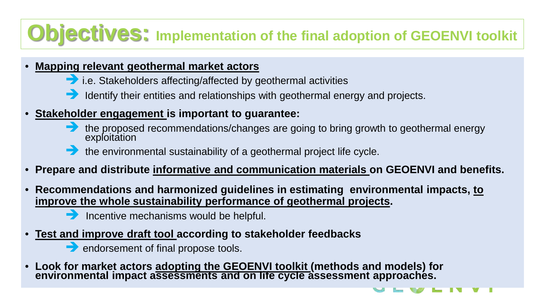# **Objectives: Implementation of the final adoption of GEOENVI toolkit**

#### • **Mapping relevant geothermal market actors**

- i.e. Stakeholders affecting/affected by geothermal activities
- Identify their entities and relationships with geothermal energy and projects.
- **Stakeholder engagement is important to guarantee:**
	- **the proposed recommendations/changes are going to bring growth to geothermal energy** exploitation
	- the environmental sustainability of a geothermal project life cycle.
- **Prepare and distribute informative and communication materials on GEOENVI and benefits.**
- **Recommendations and harmonized guidelines in estimating environmental impacts, to improve the whole sustainability performance of geothermal projects.** 
	- $\rightarrow$  Incentive mechanisms would be helpful.
- **Test and improve draft tool according to stakeholder feedbacks** 
	- endorsement of final propose tools.
- **Look for market actors adopting the GEOENVI toolkit (methods and models) for environmental impact assessments and on life cycle assessment approaches.**

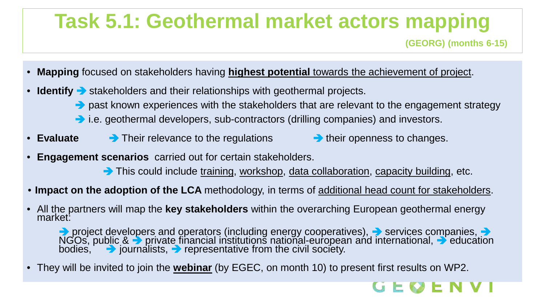# **Task 5.1: Geothermal market actors mapping**

**(GEORG) (months 6-15)**

- **Mapping** focused on stakeholders having **highest potential** towards the achievement of project.
- **Identify**  $\rightarrow$  stakeholders and their relationships with geothermal projects.
	- past known experiences with the stakeholders that are relevant to the engagement strategy
	- i.e. geothermal developers, sub-contractors (drilling companies) and investors.
- **Evaluate** Their relevance to the regulations **their openness to changes.** 
	-
- **Engagement scenarios** carried out for certain stakeholders.
	- This could include training, workshop, data collaboration, capacity building, etc.
- **Impact on the adoption of the LCA** methodology, in terms of additional head count for stakeholders.
- All the partners will map the **key stakeholders** within the overarching European geothermal energy market:

project developers and operators (including energy cooperatives),  $\rightarrow$  services companies,  $\rightarrow$ NGOs, public &  $\rightarrow$  private financial institutions national-european and international,  $\rightarrow$  education bodies,  $\rightarrow$  journalists,  $\rightarrow$  representative from the civil society.

• They will be invited to join the **webinar** (by EGEC, on month 10) to present first results on WP2.

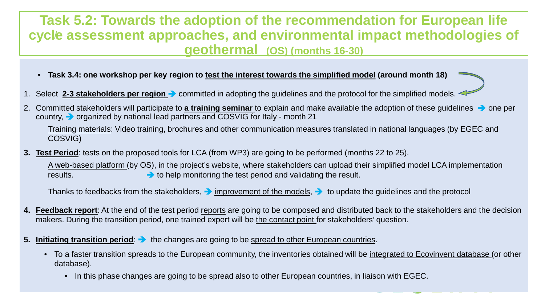### cycle assessment approaches, and environmental impact methodologies of **Task 5.2: Towards the adoption of the recommendation for European life geothermal (OS) (months 16-30)**

- **Task 3.4: one workshop per key region to test the interest towards the simplified model (around month 18)**
- 1. Select 2-3 stakeholders per region > committed in adopting the guidelines and the protocol for the simplified models.
- 2. Committed stakeholders will participate to **a training seminar** to explain and make available the adoption of these guidelines **a** one per country,  $\rightarrow$  organized by national lead partners and COSVIG for Italy - month 21

Training materials: Video training, brochures and other communication measures translated in national languages (by EGEC and COSVIG)

**3. Test Period**: tests on the proposed tools for LCA (from WP3) are going to be performed (months 22 to 25).

A web-based platform (by OS), in the project's website, where stakeholders can upload their simplified model LCA implementation results. **the example of the test period and validating the result.** The result.

Thanks to feedbacks from the stakeholders,  $\rightarrow$  improvement of the models,  $\rightarrow$  to update the guidelines and the protocol

- 4. Feedback report: At the end of the test period reports are going to be composed and distributed back to the stakeholders and the decision makers. During the transition period, one trained expert will be the contact point for stakeholders' question.
- **5. Initiating transition period:**  $\rightarrow$  the changes are going to be spread to other European countries.
	- To a faster transition spreads to the European community, the inventories obtained will be integrated to Ecovinvent database (or other database).
		- In this phase changes are going to be spread also to other European countries, in liaison with EGEC.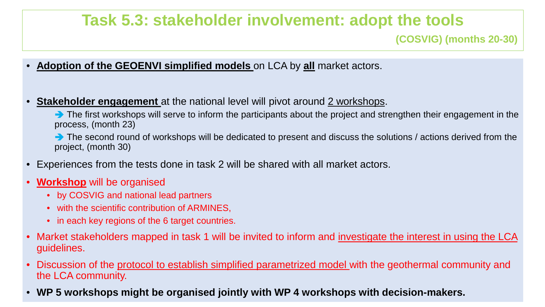## **Task 5.3: stakeholder involvement: adopt the tools**

#### **(COSVIG) (months 20-30)**

- **Adoption of the GEOENVI simplified models** on LCA by **all** market actors.
- **Stakeholder engagement** at the national level will pivot around 2 workshops.

The first workshops will serve to inform the participants about the project and strengthen their engagement in the process, (month 23)

The second round of workshops will be dedicated to present and discuss the solutions / actions derived from the project, (month 30)

- Experiences from the tests done in task 2 will be shared with all market actors.
- **Workshop** will be organised
	- by COSVIG and national lead partners
	- with the scientific contribution of ARMINES,
	- in each key regions of the 6 target countries.
- Market stakeholders mapped in task 1 will be invited to inform and investigate the interest in using the LCA guidelines.
- Discussion of the protocol to establish simplified parametrized model with the geothermal community and the LCA community.
- **WP 5 workshops might be organised jointly with WP 4 workshops with decision-makers.**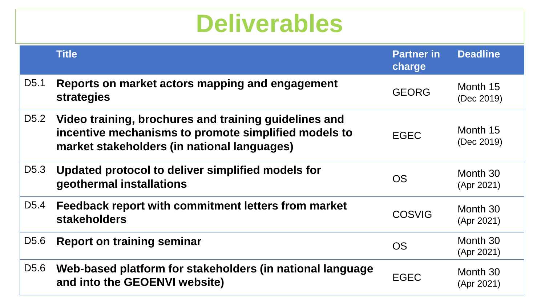# / **Deliverables**

|                   | <b>Title</b>                                                                                                                                                 | <b>Partner in</b><br>charge | <b>Deadline</b>        |
|-------------------|--------------------------------------------------------------------------------------------------------------------------------------------------------------|-----------------------------|------------------------|
| D <sub>5</sub> .1 | Reports on market actors mapping and engagement<br>strategies                                                                                                | <b>GEORG</b>                | Month 15<br>(Dec 2019) |
| D <sub>5.2</sub>  | Video training, brochures and training guidelines and<br>incentive mechanisms to promote simplified models to<br>market stakeholders (in national languages) | <b>EGEC</b>                 | Month 15<br>(Dec 2019) |
| D <sub>5.3</sub>  | Updated protocol to deliver simplified models for<br>geothermal installations                                                                                | <b>OS</b>                   | Month 30<br>(Apr 2021) |
| D <sub>5.4</sub>  | Feedback report with commitment letters from market<br><b>stakeholders</b>                                                                                   | <b>COSVIG</b>               | Month 30<br>(Apr 2021) |
| D <sub>5.6</sub>  | <b>Report on training seminar</b>                                                                                                                            | <b>OS</b>                   | Month 30<br>(Apr 2021) |
| D <sub>5.6</sub>  | Web-based platform for stakeholders (in national language<br>and into the GEOENVI website)                                                                   | <b>EGEC</b>                 | Month 30<br>(Apr 2021) |